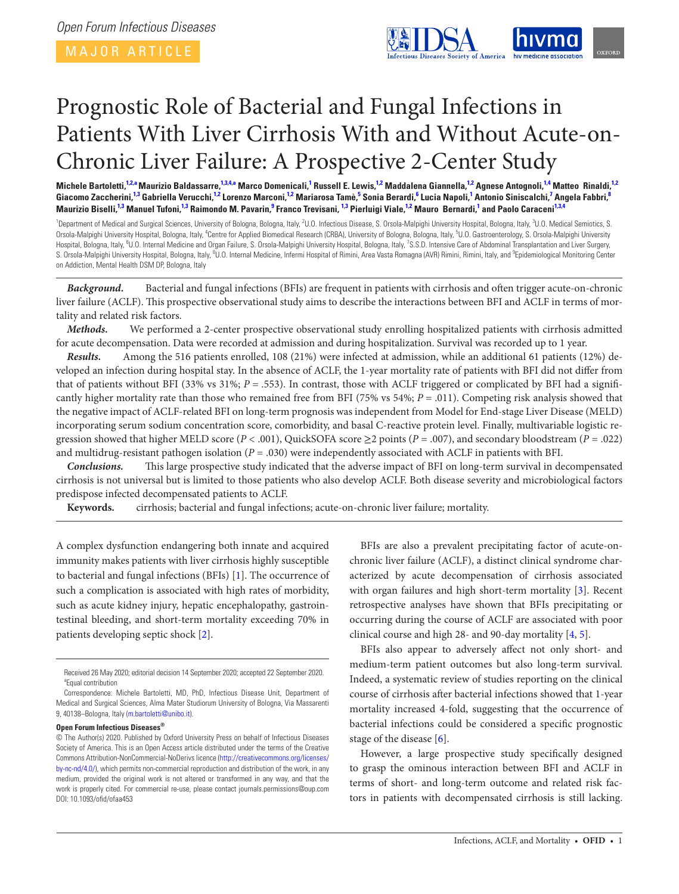<span id="page-0-9"></span><span id="page-0-5"></span><span id="page-0-3"></span>

# Prognostic Role of Bacterial and Fungal Infections in Patients With Liver Cirrhosis With and Without Acute-on-Chronic Liver Failure: A Prospective 2-Center Study

Michele Bartoletti,<sup>[1,](#page-0-0)[2](#page-0-1)[,a](#page-0-2)</sup> Maurizio Baldassarre,<sup>1,[3](#page-0-3)[,4,](#page-0-4)[a](#page-0-2)</sup> Marco Domenicali,<sup>[1](#page-0-0)</sup> Russell E. Lewis,<sup>1[,2](#page-0-1)</sup> Maddalena Giannella,<sup>1,2</sup> Agnese Antognoli,<sup>1,[4](#page-0-4)</sup> Matteo Rinaldi,<sup>1,2</sup> Giacomo Zaccherini,<sup>[1](#page-0-0)[,3](#page-0-3)</sup> Gabriella Verucchi,<sup>1,[2](#page-0-1)</sup> Lorenzo Marconi,<sup>[1,](#page-0-0)2</sup> Mariarosa Tamè,<sup>[5](#page-0-5)</sup> Sonia Berardi,<sup>[6](#page-0-6)</sup> Lucia Napoli,<sup>1</sup> Antonio Siniscalchi,<sup>[7](#page-0-7)</sup> Angela Fabbri,<sup>[8](#page-0-8)</sup> Maurizio Biselli,<sup>[1](#page-0-0)[,3](#page-0-3)</sup> Manuel Tufoni,<sup>1,3</sup> Raimondo M. Pavarin,<sup>[9](#page-0-9)</sup> Franco Trevisani, <sup>1,3</sup> Pierluigi Viale,<sup>1[,2](#page-0-1)</sup> Mauro Bernardi,<sup>1</sup> and Paolo Caraceni<sup>1,[3](#page-0-3)[,4](#page-0-4)</sup>

<span id="page-0-8"></span><span id="page-0-7"></span><span id="page-0-6"></span><span id="page-0-4"></span><span id="page-0-1"></span><span id="page-0-0"></span><sup>1</sup>Department of Medical and Surgical Sciences, University of Bologna, Bologna, Italy, <sup>2</sup>U.O. Infectious Disease, S. Orsola-Malpighi University Hospital, Bologna, Italy, <sup>3</sup>U.O. Medical Semiotics, S. Orsola-Malpighi University Hospital, Bologna, Italy, <sup>4</sup>Centre for Applied Biomedical Research (CRBA), University of Bologna, Bologna, Italy, <sup>5</sup>U.O. Gastroenterology, S. Orsola-Malpighi University Hospital, Bologna, Italy, <sup>6</sup>U.O. Internal Medicine and Organ Failure, S. Orsola-Malpighi University Hospital, Bologna, Italy, <sup>7</sup>S.S.D. Intensive Care of Abdominal Transplantation and Liver Surgery, S. Orsola-Malpighi University Hospital, Bologna, Italy, <sup>8</sup>U.O. Internal Medicine, Infermi Hospital of Rimini, Area Vasta Romagna (AVR) Rimini, Rimini, Italy, and <sup>9</sup>Epidemiological Monitoring Center on Addiction, Mental Health DSM DP, Bologna, Italy

*Background.* Bacterial and fungal infections (BFIs) are frequent in patients with cirrhosis and often trigger acute-on-chronic liver failure (ACLF). This prospective observational study aims to describe the interactions between BFI and ACLF in terms of mortality and related risk factors.

*Methods.* We performed a 2-center prospective observational study enrolling hospitalized patients with cirrhosis admitted for acute decompensation. Data were recorded at admission and during hospitalization. Survival was recorded up to 1 year.

*Results.* Among the 516 patients enrolled, 108 (21%) were infected at admission, while an additional 61 patients (12%) developed an infection during hospital stay. In the absence of ACLF, the 1-year mortality rate of patients with BFI did not differ from that of patients without BFI (33% vs 31%; *P* = .553). In contrast, those with ACLF triggered or complicated by BFI had a significantly higher mortality rate than those who remained free from BFI (75% vs 54%; *P* = .011). Competing risk analysis showed that the negative impact of ACLF-related BFI on long-term prognosis was independent from Model for End-stage Liver Disease (MELD) incorporating serum sodium concentration score, comorbidity, and basal C-reactive protein level. Finally, multivariable logistic regression showed that higher MELD score ( $P < .001$ ), QuickSOFA score  $\geq 2$  points ( $P = .007$ ), and secondary bloodstream ( $P = .022$ ) and multidrug-resistant pathogen isolation  $(P = .030)$  were independently associated with ACLF in patients with BFI.

*Conclusions.* This large prospective study indicated that the adverse impact of BFI on long-term survival in decompensated cirrhosis is not universal but is limited to those patients who also develop ACLF. Both disease severity and microbiological factors predispose infected decompensated patients to ACLF.

**Keywords.** cirrhosis; bacterial and fungal infections; acute-on-chronic liver failure; mortality.

A complex dysfunction endangering both innate and acquired immunity makes patients with liver cirrhosis highly susceptible to bacterial and fungal infections (BFIs) [\[1\]](#page-8-0). The occurrence of such a complication is associated with high rates of morbidity, such as acute kidney injury, hepatic encephalopathy, gastrointestinal bleeding, and short-term mortality exceeding 70% in patients developing septic shock [[2](#page-8-1)].

#### **Open Forum Infectious Diseases®**

BFIs are also a prevalent precipitating factor of acute-onchronic liver failure (ACLF), a distinct clinical syndrome characterized by acute decompensation of cirrhosis associated with organ failures and high short-term mortality [[3](#page-9-0)]. Recent retrospective analyses have shown that BFIs precipitating or occurring during the course of ACLF are associated with poor clinical course and high 28- and 90-day mortality [\[4,](#page-9-1) [5\]](#page-9-2).

BFIs also appear to adversely affect not only short- and medium-term patient outcomes but also long-term survival. Indeed, a systematic review of studies reporting on the clinical course of cirrhosis after bacterial infections showed that 1-year mortality increased 4-fold, suggesting that the occurrence of bacterial infections could be considered a specific prognostic stage of the disease [\[6\]](#page-9-3).

However, a large prospective study specifically designed to grasp the ominous interaction between BFI and ACLF in terms of short- and long-term outcome and related risk factors in patients with decompensated cirrhosis is still lacking.

<span id="page-0-2"></span>Received 26 May 2020; editorial decision 14 September 2020; accepted 22 September 2020. <sup>a</sup> Equal contribution

Correspondence: Michele Bartoletti, MD, PhD, Infectious Disease Unit, Department of Medical and Surgical Sciences, Alma Mater Studiorum University of Bologna, Via Massarenti 9, 40138–Bologna, Italy [\(m.bartoletti@unibo.it](mailto:m.bartoletti@unibo.it?subject=)).

<sup>©</sup> The Author(s) 2020. Published by Oxford University Press on behalf of Infectious Diseases Society of America. This is an Open Access article distributed under the terms of the Creative Commons Attribution-NonCommercial-NoDerivs licence [\(http://creativecommons.org/licenses/](http://creativecommons.org/licenses/by-nc-nd/4.0/) [by-nc-nd/4.0/](http://creativecommons.org/licenses/by-nc-nd/4.0/)), which permits non-commercial reproduction and distribution of the work, in any medium, provided the original work is not altered or transformed in any way, and that the work is properly cited. For commercial re-use, please contact journals.permissions@oup.com DOI: 10.1093/ofid/ofaa453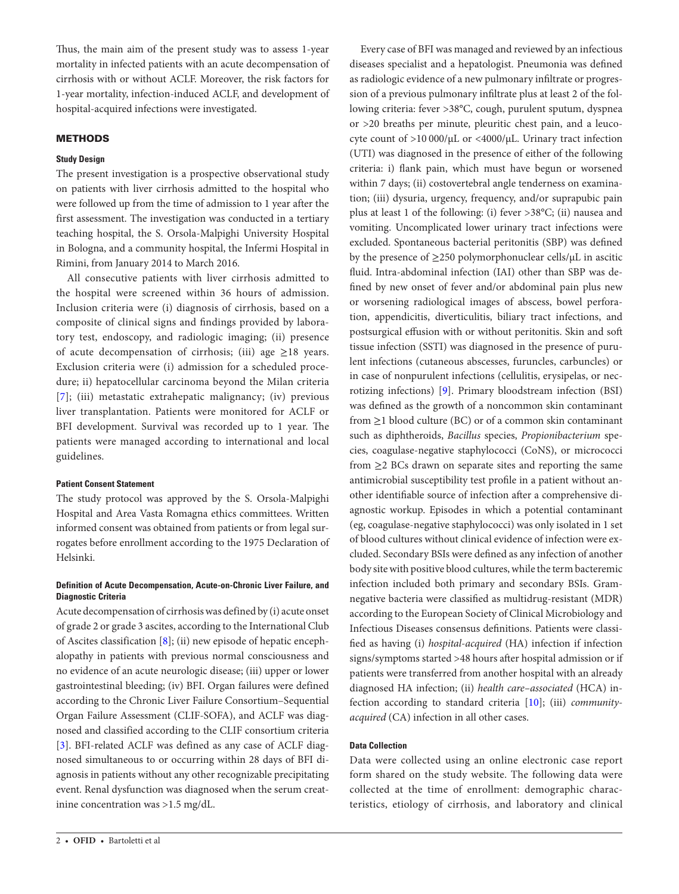Thus, the main aim of the present study was to assess 1-year mortality in infected patients with an acute decompensation of cirrhosis with or without ACLF. Moreover, the risk factors for 1-year mortality, infection-induced ACLF, and development of hospital-acquired infections were investigated.

## **METHODS**

## **Study Design**

The present investigation is a prospective observational study on patients with liver cirrhosis admitted to the hospital who were followed up from the time of admission to 1 year after the first assessment. The investigation was conducted in a tertiary teaching hospital, the S. Orsola-Malpighi University Hospital in Bologna, and a community hospital, the Infermi Hospital in Rimini, from January 2014 to March 2016.

All consecutive patients with liver cirrhosis admitted to the hospital were screened within 36 hours of admission. Inclusion criteria were (i) diagnosis of cirrhosis, based on a composite of clinical signs and findings provided by laboratory test, endoscopy, and radiologic imaging; (ii) presence of acute decompensation of cirrhosis; (iii) age  $\geq$ 18 years. Exclusion criteria were (i) admission for a scheduled procedure; ii) hepatocellular carcinoma beyond the Milan criteria [\[7](#page-9-4)]; (iii) metastatic extrahepatic malignancy; (iv) previous liver transplantation. Patients were monitored for ACLF or BFI development. Survival was recorded up to 1 year. The patients were managed according to international and local guidelines.

## **Patient Consent Statement**

The study protocol was approved by the S. Orsola-Malpighi Hospital and Area Vasta Romagna ethics committees. Written informed consent was obtained from patients or from legal surrogates before enrollment according to the 1975 Declaration of Helsinki.

## **Definition of Acute Decompensation, Acute-on-Chronic Liver Failure, and Diagnostic Criteria**

Acute decompensation of cirrhosis was defined by (i) acute onset of grade 2 or grade 3 ascites, according to the International Club of Ascites classification [\[8\]](#page-9-5); (ii) new episode of hepatic encephalopathy in patients with previous normal consciousness and no evidence of an acute neurologic disease; (iii) upper or lower gastrointestinal bleeding; (iv) BFI. Organ failures were defined according to the Chronic Liver Failure Consortium–Sequential Organ Failure Assessment (CLIF-SOFA), and ACLF was diagnosed and classified according to the CLIF consortium criteria [\[3\]](#page-9-0). BFI-related ACLF was defined as any case of ACLF diagnosed simultaneous to or occurring within 28 days of BFI diagnosis in patients without any other recognizable precipitating event. Renal dysfunction was diagnosed when the serum creatinine concentration was >1.5 mg/dL.

Every case of BFI was managed and reviewed by an infectious diseases specialist and a hepatologist. Pneumonia was defined as radiologic evidence of a new pulmonary infiltrate or progression of a previous pulmonary infiltrate plus at least 2 of the following criteria: fever >38°C, cough, purulent sputum, dyspnea or >20 breaths per minute, pleuritic chest pain, and a leucocyte count of >10 000/µL or <4000/µL. Urinary tract infection (UTI) was diagnosed in the presence of either of the following criteria: i) flank pain, which must have begun or worsened within 7 days; (ii) costovertebral angle tenderness on examination; (iii) dysuria, urgency, frequency, and/or suprapubic pain plus at least 1 of the following: (i) fever >38°C; (ii) nausea and vomiting. Uncomplicated lower urinary tract infections were excluded. Spontaneous bacterial peritonitis (SBP) was defined by the presence of ≥250 polymorphonuclear cells/µL in ascitic fluid. Intra-abdominal infection (IAI) other than SBP was defined by new onset of fever and/or abdominal pain plus new or worsening radiological images of abscess, bowel perforation, appendicitis, diverticulitis, biliary tract infections, and postsurgical effusion with or without peritonitis. Skin and soft tissue infection (SSTI) was diagnosed in the presence of purulent infections (cutaneous abscesses, furuncles, carbuncles) or in case of nonpurulent infections (cellulitis, erysipelas, or necrotizing infections) [\[9\]](#page-9-6). Primary bloodstream infection (BSI) was defined as the growth of a noncommon skin contaminant from ≥1 blood culture (BC) or of a common skin contaminant such as diphtheroids, *Bacillus* species, *Propionibacterium* species, coagulase-negative staphylococci (CoNS), or micrococci from ≥2 BCs drawn on separate sites and reporting the same antimicrobial susceptibility test profile in a patient without another identifiable source of infection after a comprehensive diagnostic workup. Episodes in which a potential contaminant (eg, coagulase-negative staphylococci) was only isolated in 1 set of blood cultures without clinical evidence of infection were excluded. Secondary BSIs were defined as any infection of another body site with positive blood cultures, while the term bacteremic infection included both primary and secondary BSIs. Gramnegative bacteria were classified as multidrug-resistant (MDR) according to the European Society of Clinical Microbiology and Infectious Diseases consensus definitions. Patients were classified as having (i) *hospital-acquired* (HA) infection if infection signs/symptoms started >48 hours after hospital admission or if patients were transferred from another hospital with an already diagnosed HA infection; (ii) *health care–associated* (HCA) infection according to standard criteria [\[10\]](#page-9-7); (iii) *communityacquired* (CA) infection in all other cases.

## **Data Collection**

Data were collected using an online electronic case report form shared on the study website. The following data were collected at the time of enrollment: demographic characteristics, etiology of cirrhosis, and laboratory and clinical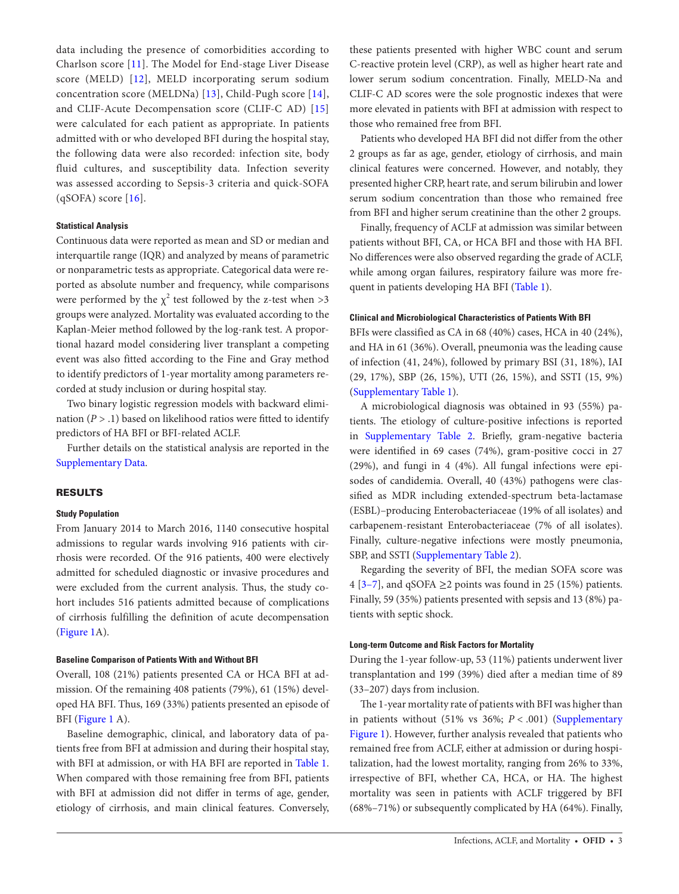data including the presence of comorbidities according to Charlson score [[11](#page-9-8)]. The Model for End-stage Liver Disease score (MELD) [[12](#page-9-9)], MELD incorporating serum sodium concentration score (MELDNa) [[13\]](#page-9-10), Child-Pugh score [[14](#page-9-11)], and CLIF-Acute Decompensation score (CLIF-C AD) [\[15\]](#page-9-12) were calculated for each patient as appropriate. In patients admitted with or who developed BFI during the hospital stay, the following data were also recorded: infection site, body fluid cultures, and susceptibility data. Infection severity was assessed according to Sepsis-3 criteria and quick-SOFA  $(qSOPA)$  score  $[16]$  $[16]$  $[16]$ .

### **Statistical Analysis**

Continuous data were reported as mean and SD or median and interquartile range (IQR) and analyzed by means of parametric or nonparametric tests as appropriate. Categorical data were reported as absolute number and frequency, while comparisons were performed by the  $\chi^2$  test followed by the z-test when >3 groups were analyzed. Mortality was evaluated according to the Kaplan-Meier method followed by the log-rank test. A proportional hazard model considering liver transplant a competing event was also fitted according to the Fine and Gray method to identify predictors of 1-year mortality among parameters recorded at study inclusion or during hospital stay.

Two binary logistic regression models with backward elimination (*P* > .1) based on likelihood ratios were fitted to identify predictors of HA BFI or BFI-related ACLF.

Further details on the statistical analysis are reported in the [Supplementary Data.](http://academic.oup.com/ofid/article-lookup/doi/10.1093/ofid/ofaa453#supplementary-data)

## RESULTS

#### **Study Population**

From January 2014 to March 2016, 1140 consecutive hospital admissions to regular wards involving 916 patients with cirrhosis were recorded. Of the 916 patients, 400 were electively admitted for scheduled diagnostic or invasive procedures and were excluded from the current analysis. Thus, the study cohort includes 516 patients admitted because of complications of cirrhosis fulfilling the definition of acute decompensation [\(Figure 1A](#page-3-0)).

#### **Baseline Comparison of Patients With and Without BFI**

Overall, 108 (21%) patients presented CA or HCA BFI at admission. Of the remaining 408 patients (79%), 61 (15%) developed HA BFI. Thus, 169 (33%) patients presented an episode of BFI [\(Figure 1](#page-3-0) A).

Baseline demographic, clinical, and laboratory data of patients free from BFI at admission and during their hospital stay, with BFI at admission, or with HA BFI are reported in [Table 1.](#page-4-0) When compared with those remaining free from BFI, patients with BFI at admission did not differ in terms of age, gender, etiology of cirrhosis, and main clinical features. Conversely,

these patients presented with higher WBC count and serum C-reactive protein level (CRP), as well as higher heart rate and lower serum sodium concentration. Finally, MELD-Na and CLIF-C AD scores were the sole prognostic indexes that were more elevated in patients with BFI at admission with respect to those who remained free from BFI.

Patients who developed HA BFI did not differ from the other 2 groups as far as age, gender, etiology of cirrhosis, and main clinical features were concerned. However, and notably, they presented higher CRP, heart rate, and serum bilirubin and lower serum sodium concentration than those who remained free from BFI and higher serum creatinine than the other 2 groups.

Finally, frequency of ACLF at admission was similar between patients without BFI, CA, or HCA BFI and those with HA BFI. No differences were also observed regarding the grade of ACLF, while among organ failures, respiratory failure was more frequent in patients developing HA BFI ([Table 1\)](#page-4-0).

#### **Clinical and Microbiological Characteristics of Patients With BFI**

BFIs were classified as CA in 68 (40%) cases, HCA in 40 (24%), and HA in 61 (36%). Overall, pneumonia was the leading cause of infection (41, 24%), followed by primary BSI (31, 18%), IAI (29, 17%), SBP (26, 15%), UTI (26, 15%), and SSTI (15, 9%) [\(Supplementary Table 1\)](http://academic.oup.com/ofid/article-lookup/doi/10.1093/ofid/ofaa453#supplementary-data).

A microbiological diagnosis was obtained in 93 (55%) patients. The etiology of culture-positive infections is reported in [Supplementary Table 2.](http://academic.oup.com/ofid/article-lookup/doi/10.1093/ofid/ofaa453#supplementary-data) Briefly, gram-negative bacteria were identified in 69 cases (74%), gram-positive cocci in 27 (29%), and fungi in 4 (4%). All fungal infections were episodes of candidemia. Overall, 40 (43%) pathogens were classified as MDR including extended-spectrum beta-lactamase (ESBL)–producing Enterobacteriaceae (19% of all isolates) and carbapenem-resistant Enterobacteriaceae (7% of all isolates). Finally, culture-negative infections were mostly pneumonia, SBP, and SSTI [\(Supplementary Table 2\)](http://academic.oup.com/ofid/article-lookup/doi/10.1093/ofid/ofaa453#supplementary-data).

Regarding the severity of BFI, the median SOFA score was 4 [\[3–](#page-9-0)[7](#page-9-4)], and qSOFA  $\geq$ 2 points was found in 25 (15%) patients. Finally, 59 (35%) patients presented with sepsis and 13 (8%) patients with septic shock.

#### **Long-term Outcome and Risk Factors for Mortality**

During the 1-year follow-up, 53 (11%) patients underwent liver transplantation and 199 (39%) died after a median time of 89 (33–207) days from inclusion.

The 1-year mortality rate of patients with BFI was higher than in patients without (51% vs 36%; *P* < .001) [\(Supplementary](http://academic.oup.com/ofid/article-lookup/doi/10.1093/ofid/ofaa453#supplementary-data)  [Figure 1](http://academic.oup.com/ofid/article-lookup/doi/10.1093/ofid/ofaa453#supplementary-data)). However, further analysis revealed that patients who remained free from ACLF, either at admission or during hospitalization, had the lowest mortality, ranging from 26% to 33%, irrespective of BFI, whether CA, HCA, or HA. The highest mortality was seen in patients with ACLF triggered by BFI (68%–71%) or subsequently complicated by HA (64%). Finally,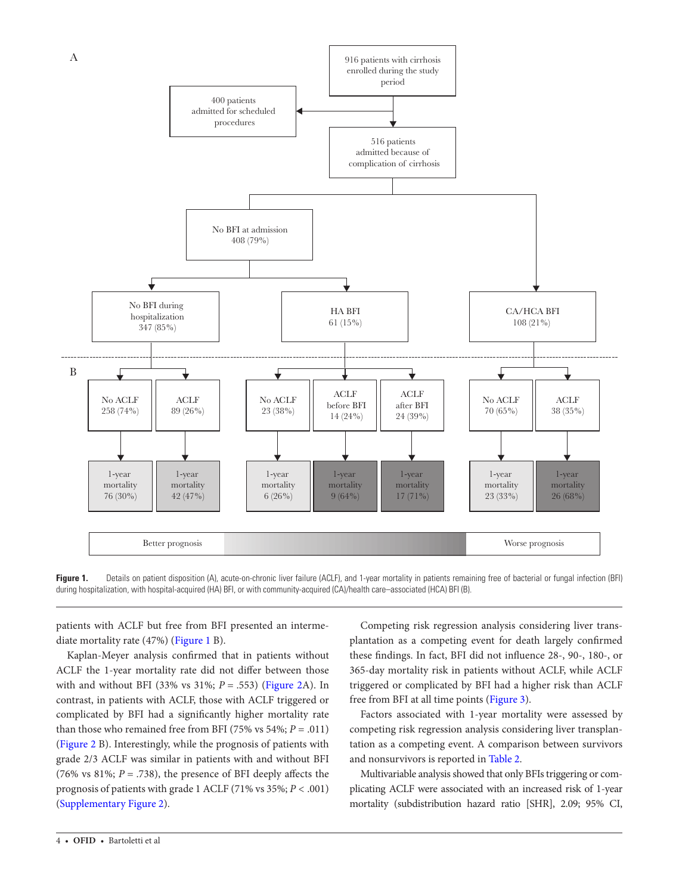

<span id="page-3-0"></span>Figure 1. Details on patient disposition (A), acute-on-chronic liver failure (ACLF), and 1-year mortality in patients remaining free of bacterial or fungal infection (BFI) during hospitalization, with hospital-acquired (HA) BFI, or with community-acquired (CA)/health care–associated (HCA) BFI (B).

patients with ACLF but free from BFI presented an intermediate mortality rate (47%) ([Figure 1](#page-3-0) B).

Kaplan-Meyer analysis confirmed that in patients without ACLF the 1-year mortality rate did not differ between those with and without BFI (33% vs 31%; *P* = .553) [\(Figure 2A](#page-5-0)). In contrast, in patients with ACLF, those with ACLF triggered or complicated by BFI had a significantly higher mortality rate than those who remained free from BFI (75% vs 54%;  $P = .011$ ) [\(Figure 2](#page-5-0) B). Interestingly, while the prognosis of patients with grade 2/3 ACLF was similar in patients with and without BFI (76% vs 81%; *P* = .738), the presence of BFI deeply affects the prognosis of patients with grade 1 ACLF (71% vs 35%; *P* < .001) [\(Supplementary Figure 2](http://academic.oup.com/ofid/article-lookup/doi/10.1093/ofid/ofaa453#supplementary-data)).

Competing risk regression analysis considering liver transplantation as a competing event for death largely confirmed these findings. In fact, BFI did not influence 28-, 90-, 180-, or 365-day mortality risk in patients without ACLF, while ACLF triggered or complicated by BFI had a higher risk than ACLF free from BFI at all time points [\(Figure 3\)](#page-6-0).

Factors associated with 1-year mortality were assessed by competing risk regression analysis considering liver transplantation as a competing event. A comparison between survivors and nonsurvivors is reported in [Table 2.](#page-7-0)

Multivariable analysis showed that only BFIs triggering or complicating ACLF were associated with an increased risk of 1-year mortality (subdistribution hazard ratio [SHR], 2.09; 95% CI,

4 • **ofid** • Bartoletti et al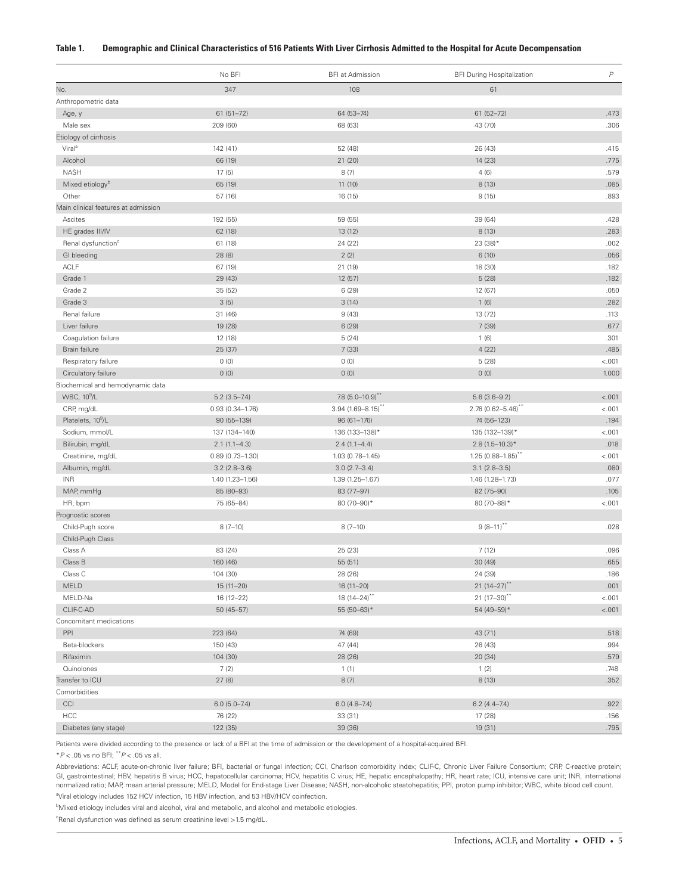#### <span id="page-4-0"></span>**Table 1. Demographic and Clinical Characteristics of 516 Patients With Liver Cirrhosis Admitted to the Hospital for Acute Decompensation**

|                                     | No BFI              | <b>BFI</b> at Admission          | <b>BFI During Hospitalization</b> | $\boldsymbol{P}$ |
|-------------------------------------|---------------------|----------------------------------|-----------------------------------|------------------|
| No.                                 | 347                 | 108                              | 61                                |                  |
| Anthropometric data                 |                     |                                  |                                   |                  |
| Age, y                              | $61(51 - 72)$       | 64 (53-74)                       | $61(52 - 72)$                     | .473             |
| Male sex                            | 209 (60)            | 68 (63)                          | 43 (70)                           | .306             |
| Etiology of cirrhosis               |                     |                                  |                                   |                  |
| Viral <sup>a</sup>                  | 142 (41)            | 52 (48)                          | 26 (43)                           | .415             |
| Alcohol                             | 66 (19)             | 21 (20)                          | 14 (23)                           | .775             |
| <b>NASH</b>                         | 17(5)               | 8(7)                             | 4(6)                              | .579             |
| Mixed etiology <sup>b</sup>         | 65 (19)             | 11 (10)                          | 8(13)                             | .085             |
| Other                               | 57 (16)             | 16 (15)                          | 9(15)                             | .893             |
| Main clinical features at admission |                     |                                  |                                   |                  |
| Ascites                             | 192 (55)            | 59 (55)                          | 39 (64)                           | .428             |
| HE grades III/IV                    | 62 (18)             | 13 (12)                          | 8(13)                             | .283             |
| Renal dysfunction <sup>c</sup>      | 61 (18)             | 24 (22)                          | 23 (38)*                          | .002             |
| GI bleeding                         | 28 (8)              | 2(2)                             | 6(10)                             | .056             |
| <b>ACLF</b>                         | 67 (19)             | 21 (19)                          | 18 (30)                           | .182             |
| Grade 1                             | 29 (43)             | 12 (57)                          | 5(28)                             | .182             |
| Grade 2                             | 35 (52)             | 6(29)                            | 12 (67)                           | .050             |
| Grade 3                             | 3(5)                | 3(14)                            | 1(6)                              | .282             |
| Renal failure                       | 31 (46)             | 9(43)                            | 13 (72)                           | .113             |
| Liver failure                       | 19 (28)             | 6(29)                            | 7(39)                             | .677             |
| Coaqulation failure                 | 12 (18)             | 5(24)                            | 1(6)                              | .301             |
| Brain failure                       | 25 (37)             | 7(33)                            | 4(22)                             | .485             |
| Respiratory failure                 | 0(0)                | 0(0)                             | 5(28)                             | < .001           |
| Circulatory failure                 | 0(0)                | 0(0)                             | 0(0)                              | 1.000            |
| Biochemical and hemodynamic data    |                     |                                  |                                   |                  |
| WBC, 10 <sup>9</sup> /L             | $5.2(3.5 - 7.4)$    | $7.8$ (5.0-10.9) <sup>**</sup>   | $5.6(3.6-9.2)$                    | $-.001$          |
| CRP, mg/dL                          | $0.93(0.34 - 1.76)$ | $3.94$ (1.69-8.15) <sup>**</sup> | 2.76 (0.62-5.46)**                | < .001           |
| Platelets, 10 <sup>9</sup> /L       | 90 (55-139)         | $96(61 - 176)$                   | 74 (56-123)                       | .194             |
| Sodium, mmol/L                      | 137 (134-140)       | 136 (133-138)*                   | 135 (132-139)*                    | < .001           |
| Bilirubin, mg/dL                    | $2.1(1.1-4.3)$      | $2.4(1.1 - 4.4)$                 | $2.8(1.5-10.3)$ *                 | .018             |
| Creatinine, mg/dL                   | $0.89(0.73 - 1.30)$ | 1.03 (0.78-1.45)                 | $1.25(0.88 - 1.85)^{**}$          | < .001           |
| Albumin, mg/dL                      | $3.2(2.8 - 3.6)$    | $3.0(2.7 - 3.4)$                 | $3.1 (2.8 - 3.5)$                 | .080             |
| <b>INR</b>                          | 1.40 (1.23-1.56)    | 1.39 (1.25-1.67)                 | 1.46 (1.28-1.73)                  | .077             |
| MAP, mmHg                           | 85 (80-93)          | 83 (77-97)                       | 82 (75-90)                        | .105             |
| HR, bpm                             | 75 (65-84)          | 80 (70-90)*                      | 80 (70-88)*                       | < .001           |
| Prognostic scores                   |                     |                                  |                                   |                  |
| Child-Pugh score                    | $8(7-10)$           | $8(7-10)$                        | $9(8-11)^{**}$                    | .028             |
| Child-Pugh Class                    |                     |                                  |                                   |                  |
| Class A                             | 83 (24)             | 25 (23)                          | 7(12)                             | .096             |
| Class B                             | 160 (46)            | 55 (51)                          | 30 (49)                           | .655             |
| Class C                             | 104 (30)            | 28 (26)                          | 24 (39)                           | .186             |
| <b>MELD</b>                         | $15(11-20)$         | 16 (11-20)                       | $21(14-27)$ **                    | .001             |
| MELD-Na                             | 16 (12-22)          | $18(14 - 24)^{**}$               | $21 (17 - 30)^{**}$               | < .001           |
| CLIF-C-AD                           | $50(45 - 57)$       | 55 (50-63)*                      | 54 (49-59)*                       | < .001           |
| Concomitant medications             |                     |                                  |                                   |                  |
| PPI                                 | 223 (64)            | 74 (69)                          | 43 (71)                           | .518             |
| Beta-blockers                       | 150 (43)            | 47 (44)                          | 26 (43)                           | .994             |
| Rifaximin                           | 104 (30)            | 28 (26)                          | 20 (34)                           | .579             |
| Quinolones                          | 7(2)                | 1(1)                             | 1(2)                              | .748             |
| Transfer to ICU                     | 27(8)               | 8(7)                             | 8(13)                             | .352             |
| Comorbidities                       |                     |                                  |                                   |                  |
| CCI                                 | $6.0(5.0 - 7.4)$    | $6.0(4.8 - 7.4)$                 | $6.2(4.4 - 7.4)$                  | .922             |
| HCC                                 | 76 (22)             | 33 (31)                          | 17 (28)                           | .156             |
| Diabetes (any stage)                | 122 (35)            | 39 (36)                          | 19 (31)                           | .795             |

Patients were divided according to the presence or lack of a BFI at the time of admission or the development of a hospital-acquired BFI.

\**P* < .05 vs no BFI; \*\**P* < .05 vs all.

Abbreviations: ACLF, acute-on-chronic liver failure; BFI, bacterial or fungal infection; CCI, Charlson comorbidity index; CLIF-C, Chronic Liver Failure Consortium; CRP, C-reactive protein; GI, gastrointestinal; HBV, hepatitis B virus; HCC, hepatocellular carcinoma; HCV, hepatitis C virus; HE, hepatic encephalopathy; HR, heart rate; ICU, intensive care unit; INR, international normalized ratio; MAP, mean arterial pressure; MELD, Model for End-stage Liver Disease; NASH, non-alcoholic steatohepatitis; PPI, proton pump inhibitor; WBC, white blood cell count. <sup>a</sup>Viral etiology includes 152 HCV infection, 15 HBV infection, and 53 HBV/HCV coinfection.

<sup>b</sup>Mixed etiology includes viral and alcohol, viral and metabolic, and alcohol and metabolic etiologies.

<sup>c</sup>Renal dysfunction was defined as serum creatinine level > 1.5 mg/dL.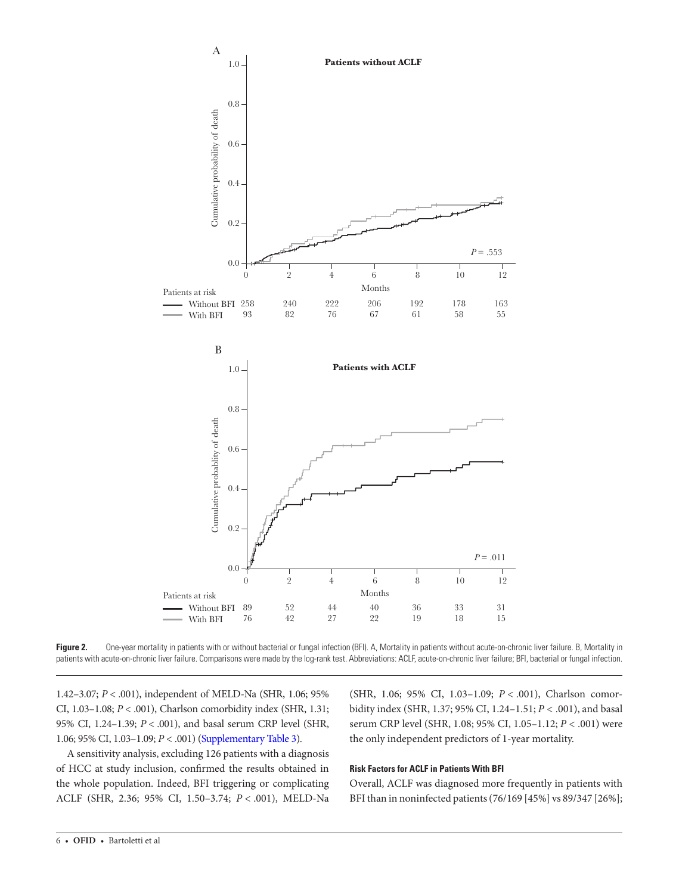

Figure 2. One-year mortality in patients with or without bacterial or fungal infection (BFI). A, Mortality in patients without acute-on-chronic liver failure. B, Mortality in patients with acute-on-chronic liver failure. Comparisons were made by the log-rank test. Abbreviations: ACLF, acute-on-chronic liver failure; BFI, bacterial or fungal infection.

1.42–3.07; *P* < .001), independent of MELD-Na (SHR, 1.06; 95% CI, 1.03–1.08; *P* < .001), Charlson comorbidity index (SHR, 1.31; 95% CI, 1.24–1.39; *P* < .001), and basal serum CRP level (SHR, 1.06; 95% CI, 1.03–1.09; *P* < .001) [\(Supplementary Table 3](http://academic.oup.com/ofid/article-lookup/doi/10.1093/ofid/ofaa453#supplementary-data)).

A sensitivity analysis, excluding 126 patients with a diagnosis of HCC at study inclusion, confirmed the results obtained in the whole population. Indeed, BFI triggering or complicating ACLF (SHR, 2.36; 95% CI, 1.50–3.74; *P* < .001), MELD-Na

<span id="page-5-0"></span>(SHR, 1.06; 95% CI, 1.03–1.09; *P* < .001), Charlson comorbidity index (SHR, 1.37; 95% CI, 1.24–1.51; *P* < .001), and basal serum CRP level (SHR, 1.08; 95% CI, 1.05–1.12; *P* < .001) were the only independent predictors of 1-year mortality.

## **Risk Factors for ACLF in Patients With BFI**

Overall, ACLF was diagnosed more frequently in patients with BFI than in noninfected patients (76/169 [45%] vs 89/347 [26%];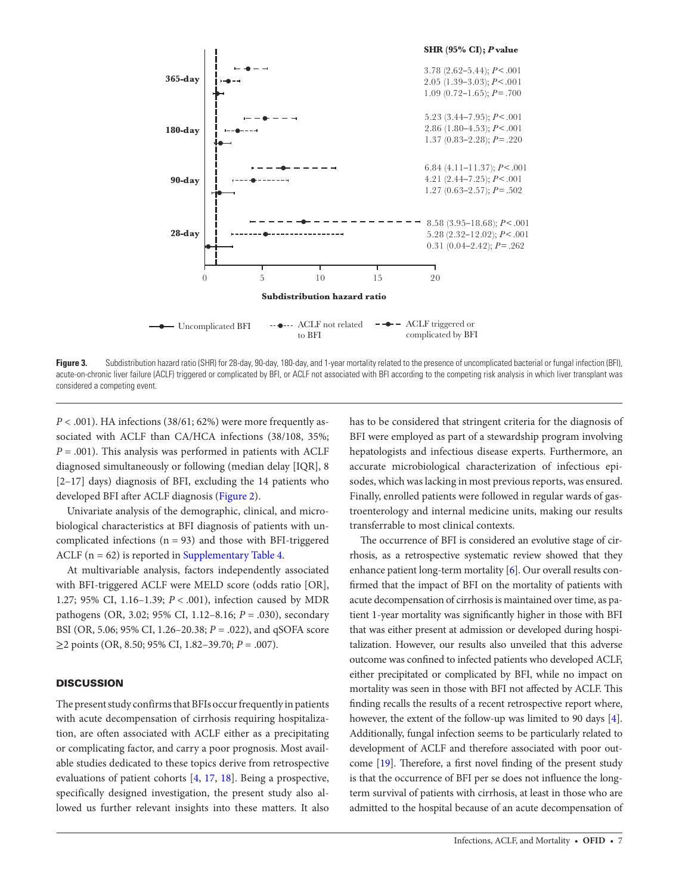

Figure 3. Subdistribution hazard ratio (SHR) for 28-day, 90-day, 180-day, and 1-year mortality related to the presence of uncomplicated bacterial or fungal infection (BFI), acute-on-chronic liver failure (ACLF) triggered or complicated by BFI, or ACLF not associated with BFI according to the competing risk analysis in which liver transplant was considered a competing event.

*P* < .001). HA infections (38/61; 62%) were more frequently associated with ACLF than CA/HCA infections (38/108, 35%; *P* = .001). This analysis was performed in patients with ACLF diagnosed simultaneously or following (median delay [IQR], 8 [2–17] days) diagnosis of BFI, excluding the 14 patients who developed BFI after ACLF diagnosis ([Figure 2\)](#page-5-0).

Univariate analysis of the demographic, clinical, and microbiological characteristics at BFI diagnosis of patients with uncomplicated infections  $(n = 93)$  and those with BFI-triggered ACLF ( $n = 62$ ) is reported in [Supplementary Table 4](http://academic.oup.com/ofid/article-lookup/doi/10.1093/ofid/ofaa453#supplementary-data).

At multivariable analysis, factors independently associated with BFI-triggered ACLF were MELD score (odds ratio [OR], 1.27; 95% CI, 1.16–1.39; *P* < .001), infection caused by MDR pathogens (OR, 3.02; 95% CI, 1.12–8.16; *P* = .030), secondary BSI (OR, 5.06; 95% CI, 1.26–20.38; *P* = .022), and qSOFA score ≥2 points (OR, 8.50; 95% CI, 1.82–39.70; *P* = .007).

## **DISCUSSION**

The present study confirms that BFIs occur frequently in patients with acute decompensation of cirrhosis requiring hospitalization, are often associated with ACLF either as a precipitating or complicating factor, and carry a poor prognosis. Most available studies dedicated to these topics derive from retrospective evaluations of patient cohorts [\[4,](#page-9-1) [17](#page-9-14), [18](#page-9-15)]. Being a prospective, specifically designed investigation, the present study also allowed us further relevant insights into these matters. It also

<span id="page-6-0"></span>has to be considered that stringent criteria for the diagnosis of BFI were employed as part of a stewardship program involving hepatologists and infectious disease experts. Furthermore, an accurate microbiological characterization of infectious episodes, which was lacking in most previous reports, was ensured. Finally, enrolled patients were followed in regular wards of gastroenterology and internal medicine units, making our results transferrable to most clinical contexts.

The occurrence of BFI is considered an evolutive stage of cirrhosis, as a retrospective systematic review showed that they enhance patient long-term mortality [[6](#page-9-3)]. Our overall results confirmed that the impact of BFI on the mortality of patients with acute decompensation of cirrhosis is maintained over time, as patient 1-year mortality was significantly higher in those with BFI that was either present at admission or developed during hospitalization. However, our results also unveiled that this adverse outcome was confined to infected patients who developed ACLF, either precipitated or complicated by BFI, while no impact on mortality was seen in those with BFI not affected by ACLF. This finding recalls the results of a recent retrospective report where, however, the extent of the follow-up was limited to 90 days [\[4\]](#page-9-1). Additionally, fungal infection seems to be particularly related to development of ACLF and therefore associated with poor outcome [\[19](#page-9-16)]. Therefore, a first novel finding of the present study is that the occurrence of BFI per se does not influence the longterm survival of patients with cirrhosis, at least in those who are admitted to the hospital because of an acute decompensation of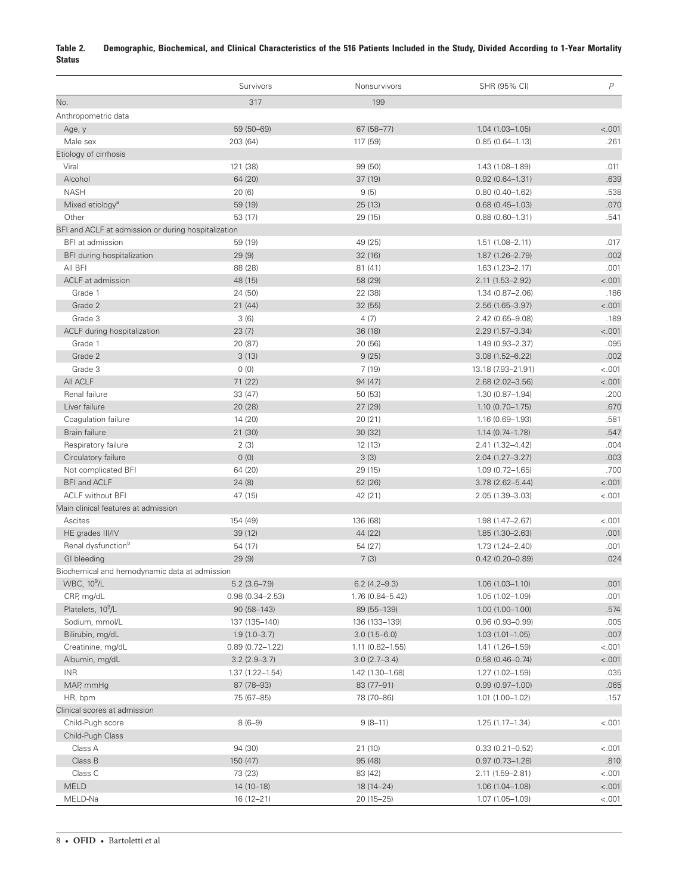## <span id="page-7-0"></span>**Table 2. Demographic, Biochemical, and Clinical Characteristics of the 516 Patients Included in the Study, Divided According to 1-Year Mortality Status**

|                                                     | Survivors           | Nonsurvivors        | SHR (95% CI)                               | $\, P$  |
|-----------------------------------------------------|---------------------|---------------------|--------------------------------------------|---------|
| No.                                                 | 317                 | 199                 |                                            |         |
| Anthropometric data                                 |                     |                     |                                            |         |
| Age, y                                              | 59 (50-69)          | 67 (58-77)          | $1.04(1.03 - 1.05)$                        | < .001  |
| Male sex                                            | 203 (64)            | 117 (59)            | $0.85(0.64 - 1.13)$                        | .261    |
| Etiology of cirrhosis                               |                     |                     |                                            |         |
| Viral                                               | 121 (38)            | 99 (50)             | 1.43 (1.08-1.89)                           | .011    |
| Alcohol                                             | 64 (20)             | 37(19)              | $0.92(0.64 - 1.31)$                        | .639    |
| <b>NASH</b>                                         | 20(6)               | 9(5)                | $0.80(0.40 - 1.62)$                        | .538    |
| Mixed etiology <sup>a</sup>                         | 59 (19)             | 25(13)              | $0.68(0.45 - 1.03)$                        | .070    |
| Other                                               | 53 (17)             | 29 (15)             | $0.88(0.60 - 1.31)$                        | .541    |
| BFI and ACLF at admission or during hospitalization |                     |                     |                                            |         |
| BFI at admission                                    | 59 (19)             | 49 (25)             | $1.51(1.08 - 2.11)$                        | .017    |
| BFI during hospitalization                          | 29(9)               | 32(16)              | $1.87(1.26 - 2.79)$                        | .002    |
| All BFI                                             | 88 (28)             | 81(41)              | $1.63(1.23 - 2.17)$                        | .001    |
| ACLF at admission                                   | 48 (15)             | 58 (29)             | 2.11 (1.53-2.92)                           | < .001  |
| Grade 1                                             | 24 (50)             | 22 (38)             | $1.34(0.87 - 2.06)$                        | .186    |
| Grade 2                                             | 21 (44)             | 32 (55)             | $2.56(1.65 - 3.97)$                        | $-.001$ |
| Grade 3                                             | 3(6)                | 4(7)                | 2.42 (0.65-9.08)                           | .189    |
| ACLF during hospitalization                         | 23(7)               | 36 (18)             | 2.29 (1.57-3.34)                           | < .001  |
| Grade 1                                             | 20 (87)             | 20 (56)             | 1.49 (0.93-2.37)                           | .095    |
| Grade 2                                             | 3(13)               | 9(25)               | $3.08(1.52 - 6.22)$                        | .002    |
| Grade 3                                             | 0(0)                | 7(19)               | 13.18 (7.93-21.91)                         | < .001  |
| All ACLF                                            | 71 (22)             | 94 (47)             | $2.68(2.02 - 3.56)$                        | < .001  |
| Renal failure                                       | 33 (47)             | 50 (53)             | $1.30(0.87 - 1.94)$                        | .200    |
| Liver failure                                       | 20 (28)             | 27 (29)             | $1.10(0.70 - 1.75)$                        | .670    |
| Coagulation failure                                 | 14 (20)             | 20(21)              | $1.16(0.69 - 1.93)$                        | .581    |
| Brain failure                                       | 21 (30)             | 30 (32)             | $1.14(0.74 - 1.78)$                        | .547    |
| Respiratory failure                                 | 2(3)                | 12 (13)             | 2.41 (1.32-4.42)                           | .004    |
| Circulatory failure                                 | 0(0)                | 3(3)                | 2.04 (1.27-3.27)                           | .003    |
| Not complicated BFI                                 | 64 (20)             | 29 (15)             | $1.09(0.72 - 1.65)$                        | .700    |
| BFI and ACLF                                        | 24(8)               | 52 (26)             | $3.78(2.62 - 5.44)$                        | < .001  |
| <b>ACLF</b> without BFI                             | 47 (15)             | 42 (21)             | 2.05 (1.39-3.03)                           | $-.001$ |
| Main clinical features at admission                 |                     |                     |                                            |         |
| Ascites                                             | 154 (49)            | 136 (68)            | 1.98 (1.47-2.67)                           | < .001  |
| HE grades III/IV                                    | 39 (12)             | 44 (22)             | 1.85 (1.30-2.63)                           | .001    |
| Renal dysfunction <sup>b</sup>                      | 54 (17)             | 54 (27)             | $1.73(1.24 - 2.40)$                        | .001    |
| GI bleeding                                         | 29(9)               | 7(3)                | $0.42(0.20 - 0.89)$                        | .024    |
| Biochemical and hemodynamic data at admission       |                     |                     |                                            |         |
| WBC, 10 <sup>9</sup> /L                             | $5.2(3.6 - 7.9)$    | $6.2(4.2 - 9.3)$    |                                            | .001    |
| CRP, mg/dL                                          | $0.98(0.34 - 2.53)$ | 1.76 (0.84-5.42)    | $1.06(1.03 - 1.10)$<br>$1.05(1.02 - 1.09)$ | .001    |
| Platelets, 10 <sup>9</sup> /L                       | 90 (58-143)         | 89 (55-139)         | $1.00(1.00 - 1.00)$                        | .574    |
| Sodium, mmol/L                                      | 137 (135-140)       | 136 (133-139)       | $0.96(0.93 - 0.99)$                        | .005    |
| Bilirubin, mg/dL                                    | $1.9(1.0 - 3.7)$    | $3.0(1.5 - 6.0)$    | $1.03(1.01 - 1.05)$                        | .007    |
| Creatinine, mg/dL                                   | $0.89(0.72 - 1.22)$ | $1.11(0.82 - 1.55)$ | 1.41 (1.26-1.59)                           | < .001  |
|                                                     |                     |                     |                                            | < .001  |
| Albumin, mg/dL<br><b>INR</b>                        | $3.2(2.9 - 3.7)$    | $3.0(2.7 - 3.4)$    | $0.58(0.46 - 0.74)$                        | .035    |
|                                                     | 1.37 (1.22-1.54)    | 1.42 (1.30-1.68)    | 1.27 (1.02-1.59)                           |         |
| MAP, mmHg                                           | 87 (78-93)          | 83 (77-91)          | $0.99(0.97 - 1.00)$                        | .065    |
| HR, bpm                                             | 75 (67-85)          | 78 (70-86)          | $1.01(1.00 - 1.02)$                        | .157    |
| Clinical scores at admission                        |                     |                     |                                            |         |
| Child-Pugh score                                    | $8(6-9)$            | $9(8-11)$           | $1.25(1.17 - 1.34)$                        | < .001  |
| Child-Pugh Class                                    |                     |                     |                                            |         |
| Class A                                             | 94 (30)             | 21 (10)             | $0.33(0.21 - 0.52)$                        | < .001  |
| Class B                                             | 150 (47)            | 95 (48)             | $0.97(0.73 - 1.28)$                        | .810    |
| Class C                                             | 73 (23)             | 83 (42)             | 2.11 (1.59-2.81)                           | < .001  |
| <b>MELD</b>                                         | 14 (10-18)          | 18 (14-24)          | 1.06 (1.04-1.08)                           | < .001  |
| MELD-Na                                             | 16 (12-21)          | 20 (15-25)          | 1.07 (1.05-1.09)                           | < .001  |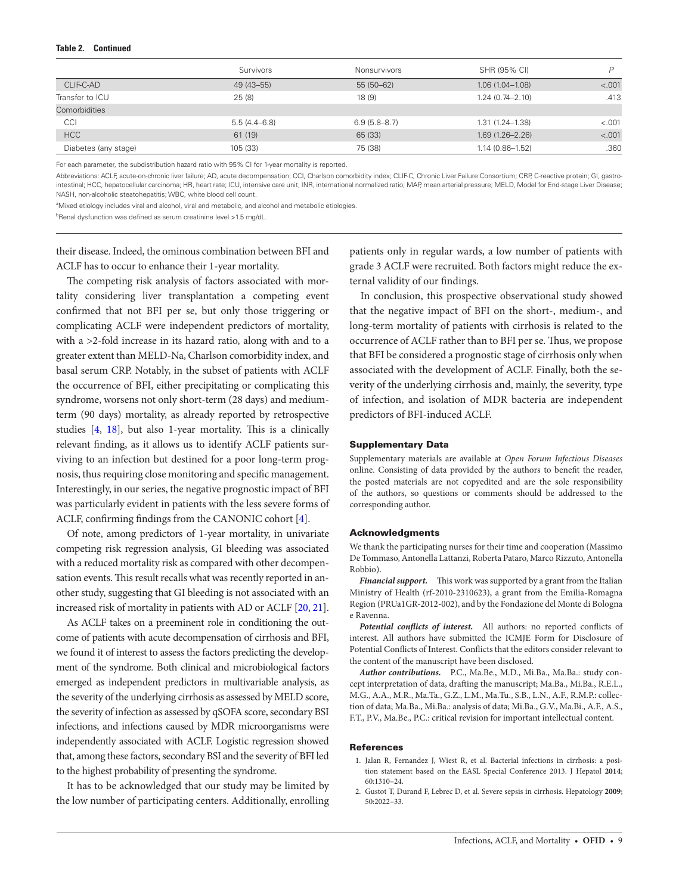#### **Table 2. Continued**

|                      | Survivors        | Nonsurvivors     | SHR (95% CI)        | P       |
|----------------------|------------------|------------------|---------------------|---------|
| CLIF-C-AD            | 49 (43-55)       | $55(50-62)$      | $1.06(1.04 - 1.08)$ | < .001  |
| Transfer to ICU      | 25(8)            | 18(9)            | $1.24(0.74 - 2.10)$ | .413    |
| Comorbidities        |                  |                  |                     |         |
| CCI                  | $5.5(4.4 - 6.8)$ | $6.9(5.8 - 8.7)$ | $1.31(1.24 - 1.38)$ | < .001  |
| HCC                  | 61 (19)          | 65 (33)          | $1.69(1.26 - 2.26)$ | $-.001$ |
| Diabetes (any stage) | 105 (33)         | 75 (38)          | $1.14(0.86 - 1.52)$ | .360    |
|                      |                  |                  |                     |         |

For each parameter, the subdistribution hazard ratio with 95% CI for 1-year mortality is reported.

Abbreviations: ACLF, acute-on-chronic liver failure; AD, acute decompensation; CCI, Charlson comorbidity index; CLIF-C, Chronic Liver Failure Consortium; CRP, C-reactive protein; GI, gastrointestinal; HCC, hepatocellular carcinoma; HR, heart rate; ICU, intensive care unit; INR, international normalized ratio; MAP, mean arterial pressure; MELD, Model for End-stage Liver Disease; NASH, non-alcoholic steatohepatitis; WBC, white blood cell count.

aMixed etiology includes viral and alcohol, viral and metabolic, and alcohol and metabolic etiologies.

their disease. Indeed, the ominous combination between BFI and ACLF has to occur to enhance their 1-year mortality.

The competing risk analysis of factors associated with mortality considering liver transplantation a competing event confirmed that not BFI per se, but only those triggering or complicating ACLF were independent predictors of mortality, with a >2-fold increase in its hazard ratio, along with and to a greater extent than MELD-Na, Charlson comorbidity index, and basal serum CRP. Notably, in the subset of patients with ACLF the occurrence of BFI, either precipitating or complicating this syndrome, worsens not only short-term (28 days) and mediumterm (90 days) mortality, as already reported by retrospective studies [[4](#page-9-1), [18](#page-9-15)], but also 1-year mortality. This is a clinically relevant finding, as it allows us to identify ACLF patients surviving to an infection but destined for a poor long-term prognosis, thus requiring close monitoring and specific management. Interestingly, in our series, the negative prognostic impact of BFI was particularly evident in patients with the less severe forms of ACLF, confirming findings from the CANONIC cohort [[4](#page-9-1)].

Of note, among predictors of 1-year mortality, in univariate competing risk regression analysis, GI bleeding was associated with a reduced mortality risk as compared with other decompensation events. This result recalls what was recently reported in another study, suggesting that GI bleeding is not associated with an increased risk of mortality in patients with AD or ACLF [[20,](#page-9-17) [21\]](#page-9-18).

As ACLF takes on a preeminent role in conditioning the outcome of patients with acute decompensation of cirrhosis and BFI, we found it of interest to assess the factors predicting the development of the syndrome. Both clinical and microbiological factors emerged as independent predictors in multivariable analysis, as the severity of the underlying cirrhosis as assessed by MELD score, the severity of infection as assessed by qSOFA score, secondary BSI infections, and infections caused by MDR microorganisms were independently associated with ACLF. Logistic regression showed that, among these factors, secondary BSI and the severity of BFI led to the highest probability of presenting the syndrome.

It has to be acknowledged that our study may be limited by the low number of participating centers. Additionally, enrolling

patients only in regular wards, a low number of patients with grade 3 ACLF were recruited. Both factors might reduce the external validity of our findings.

In conclusion, this prospective observational study showed that the negative impact of BFI on the short-, medium-, and long-term mortality of patients with cirrhosis is related to the occurrence of ACLF rather than to BFI per se. Thus, we propose that BFI be considered a prognostic stage of cirrhosis only when associated with the development of ACLF. Finally, both the severity of the underlying cirrhosis and, mainly, the severity, type of infection, and isolation of MDR bacteria are independent predictors of BFI-induced ACLF.

#### Supplementary Data

Supplementary materials are available at *Open Forum Infectious Diseases* online. Consisting of data provided by the authors to benefit the reader, the posted materials are not copyedited and are the sole responsibility of the authors, so questions or comments should be addressed to the corresponding author.

#### Acknowledgments

We thank the participating nurses for their time and cooperation (Massimo De Tommaso, Antonella Lattanzi, Roberta Pataro, Marco Rizzuto, Antonella Robbio).

*Financial support.* This work was supported by a grant from the Italian Ministry of Health (rf-2010-2310623), a grant from the Emilia-Romagna Region (PRUa1GR-2012-002), and by the Fondazione del Monte di Bologna e Ravenna.

*Potential conflicts of interest.* All authors: no reported conflicts of interest. All authors have submitted the ICMJE Form for Disclosure of Potential Conflicts of Interest. Conflicts that the editors consider relevant to the content of the manuscript have been disclosed.

*Author contributions.* P.C., Ma.Be., M.D., Mi.Ba., Ma.Ba.: study concept interpretation of data, drafting the manuscript; Ma.Ba., Mi.Ba., R.E.L., M.G., A.A., M.R., Ma.Ta., G.Z., L.M., Ma.Tu., S.B., L.N., A.F., R.M.P.: collection of data; Ma.Ba., Mi.Ba.: analysis of data; Mi.Ba., G.V., Ma.Bi., A.F., A.S., F.T., P.V., Ma.Be., P.C.: critical revision for important intellectual content.

#### References

- <span id="page-8-0"></span>1. Jalan R, Fernandez J, Wiest R, et al. Bacterial infections in cirrhosis: a position statement based on the EASL Special Conference 2013. J Hepatol **2014**; 60:1310–24.
- <span id="page-8-1"></span>2. Gustot T, Durand F, Lebrec D, et al. Severe sepsis in cirrhosis. Hepatology **2009**; 50:2022–33.

b Renal dysfunction was defined as serum creatinine level >1.5 mg/dL.